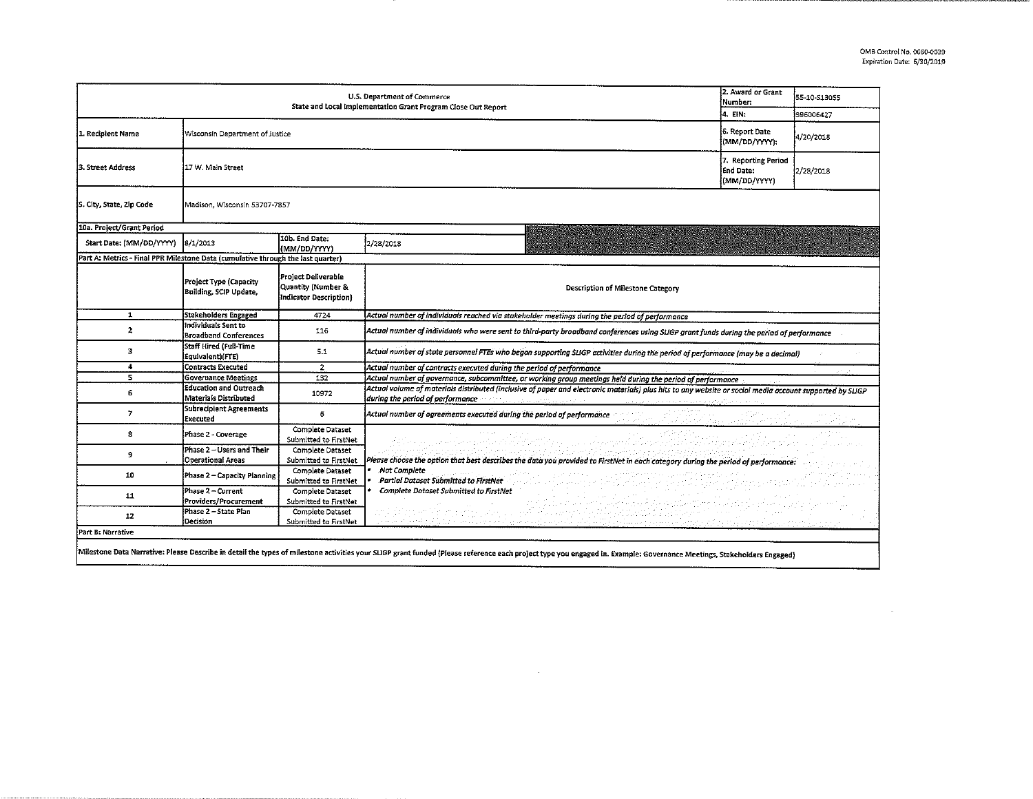$\sim 100$ 

| U.S. Department of Commerce<br>State and Local Implementation Grant Program Close Out Report |                                                        |                                                                     |                                                                                                                                                                                                                                                                                                                                                                                                                   |                                                                                                                   | 55-10-513055 |  |  |  |
|----------------------------------------------------------------------------------------------|--------------------------------------------------------|---------------------------------------------------------------------|-------------------------------------------------------------------------------------------------------------------------------------------------------------------------------------------------------------------------------------------------------------------------------------------------------------------------------------------------------------------------------------------------------------------|-------------------------------------------------------------------------------------------------------------------|--------------|--|--|--|
|                                                                                              | Í4. EIN:                                               | 396006427                                                           |                                                                                                                                                                                                                                                                                                                                                                                                                   |                                                                                                                   |              |  |  |  |
| 1. Recipient Name                                                                            | Wisconsin Department of Justice                        |                                                                     |                                                                                                                                                                                                                                                                                                                                                                                                                   | 6. Report Date<br>(MM/DD/YYYY);                                                                                   | 4/20/2018    |  |  |  |
| l3. Street Address                                                                           | 17 W. Main Street                                      |                                                                     |                                                                                                                                                                                                                                                                                                                                                                                                                   |                                                                                                                   | 2/28/2018    |  |  |  |
| 5. City, State, Zip Code                                                                     | Madison, Wisconsin 53707-7857                          |                                                                     |                                                                                                                                                                                                                                                                                                                                                                                                                   |                                                                                                                   |              |  |  |  |
| 10a. Project/Grant Period                                                                    |                                                        |                                                                     |                                                                                                                                                                                                                                                                                                                                                                                                                   |                                                                                                                   |              |  |  |  |
| Start Date: (MM/DD/YYYY)                                                                     | 8/1/2013                                               | 10b. End Date:<br>(MM/DD/YYYY)                                      | 2/28/2018                                                                                                                                                                                                                                                                                                                                                                                                         |                                                                                                                   |              |  |  |  |
| Part A: Metrics - Final PPR Milestone Data (cumulative through the last quarter)             |                                                        |                                                                     |                                                                                                                                                                                                                                                                                                                                                                                                                   |                                                                                                                   |              |  |  |  |
|                                                                                              | Project Type (Capacity<br>Building, SCIP Update,       | Project Deliverable<br>Quantity (Number &<br>Indicator Description) | Description of Milestone Category                                                                                                                                                                                                                                                                                                                                                                                 |                                                                                                                   |              |  |  |  |
| $\mathbf{1}$                                                                                 | Stakeholders Engaged                                   | 4724                                                                | Actual number of individuals reached via stakeholder meetings during the period of performance                                                                                                                                                                                                                                                                                                                    |                                                                                                                   |              |  |  |  |
| $\overline{2}$                                                                               | Individuals Sent to<br><b>Broadband Conferences</b>    | 116                                                                 | Actual number of individuals who were sent to third-party broadband conferences using SLIGP grant funds during the period of performance                                                                                                                                                                                                                                                                          |                                                                                                                   |              |  |  |  |
| 3                                                                                            | Staff Hired (Full-Time<br>Equivalent)(FTE)             | 5.1                                                                 | Actual number of state personnel FTEs who began supporting SLIGP activities during the period of performance (may be a decimal)                                                                                                                                                                                                                                                                                   |                                                                                                                   |              |  |  |  |
| 4                                                                                            | <b>Contracts Executed</b>                              | $\overline{z}$                                                      | Actual number of contracts executed during the period of performance                                                                                                                                                                                                                                                                                                                                              |                                                                                                                   |              |  |  |  |
| 5                                                                                            | <b>Governance Meetings</b>                             | 132                                                                 | . Actual number of governance, subcommittee, or working group meetings held during the period of performance                                                                                                                                                                                                                                                                                                      |                                                                                                                   |              |  |  |  |
| 6                                                                                            | <b>Education and Outreach</b><br>Materials Distributed | 10972                                                               | Actual volume of materials distributed (inclusive of paper and electronic materials) plus hits to any website or social media account supported by SLIGP<br>during the period of performance of anti-section and personal control and construction and periodic control of                                                                                                                                        |                                                                                                                   |              |  |  |  |
| 7                                                                                            | Subrecipient Agreements<br>Executed                    | 6                                                                   | Actual number of agreements executed during the period of performance                                                                                                                                                                                                                                                                                                                                             | a a ninkin a shekarar 2011.<br>Nashrida <u>ƙasar ta ƙasaye sa dila</u> ma an <u>ti NGC 2012, a s</u> hekara ta 19 |              |  |  |  |
| 8                                                                                            | Phase 2 - Coverage                                     | Complete Dataset<br>Submitted to FirstNet                           | yttä saajaa esitettiin ja viidikunnin ja jootaa ja kunna lihtää kyössä ja väikilijaan väättä osi laitustaa.                                                                                                                                                                                                                                                                                                       |                                                                                                                   |              |  |  |  |
| 9                                                                                            | Phase 2 - Users and Their<br><b>Operational Areas</b>  | Complete Dataset<br>Submitted to FirstNet                           | Please choose the option that best describes the data you provided to FirstNet in each category during the period of performance:                                                                                                                                                                                                                                                                                 |                                                                                                                   |              |  |  |  |
| 10                                                                                           | Phase 2 - Capacity Planning                            | Complete Dataset<br>Submitted to FirstNet                           | Not Complete<br>and developing the problems of the property of the con-<br>a primerane a partir neprava<br>Vortuer Per ne politicum<br>Complete Dataset Submitted to FirstNet<br>المستخدم المستخدم المستخدم المستخدم المستخدم المستخدم المستخدم المستخدم المستخدم المستخدم المستخدم المستخدم ال<br>والمستخدم المستخدم المستخدم المستخدم المستخدم المستخدم المستخدم المستخدم المستخدم المستخدم المستخدم المستخدم ا |                                                                                                                   |              |  |  |  |
| 11                                                                                           | Phase 2 - Current<br>Providers/Procurement             | Complete Dataset<br>Submitted to FirstNet                           |                                                                                                                                                                                                                                                                                                                                                                                                                   |                                                                                                                   |              |  |  |  |
| 12                                                                                           | Phase 2 - State Plan<br>Decision                       | Complete Dataset<br>Submitted to FirstNet                           | and dat noon teksnel afkallader i straket folklassen de date for hielmat at halvade streket en streket for et<br>In een de t <u>egneliken en deur een huine nijde</u> e beskreef de <u>teksnel en een begrapp dat beste bla</u> nkat met behav                                                                                                                                                                    |                                                                                                                   |              |  |  |  |
| Part B: Narrative                                                                            |                                                        |                                                                     |                                                                                                                                                                                                                                                                                                                                                                                                                   |                                                                                                                   |              |  |  |  |
|                                                                                              |                                                        |                                                                     | Milestone Data Narrative: Please Describe in detail the types of milestone activities your SLIGP grant funded (Please reference each project type you engaged in. Example: Governance Meetings, Stakeholders Engaged)                                                                                                                                                                                             |                                                                                                                   |              |  |  |  |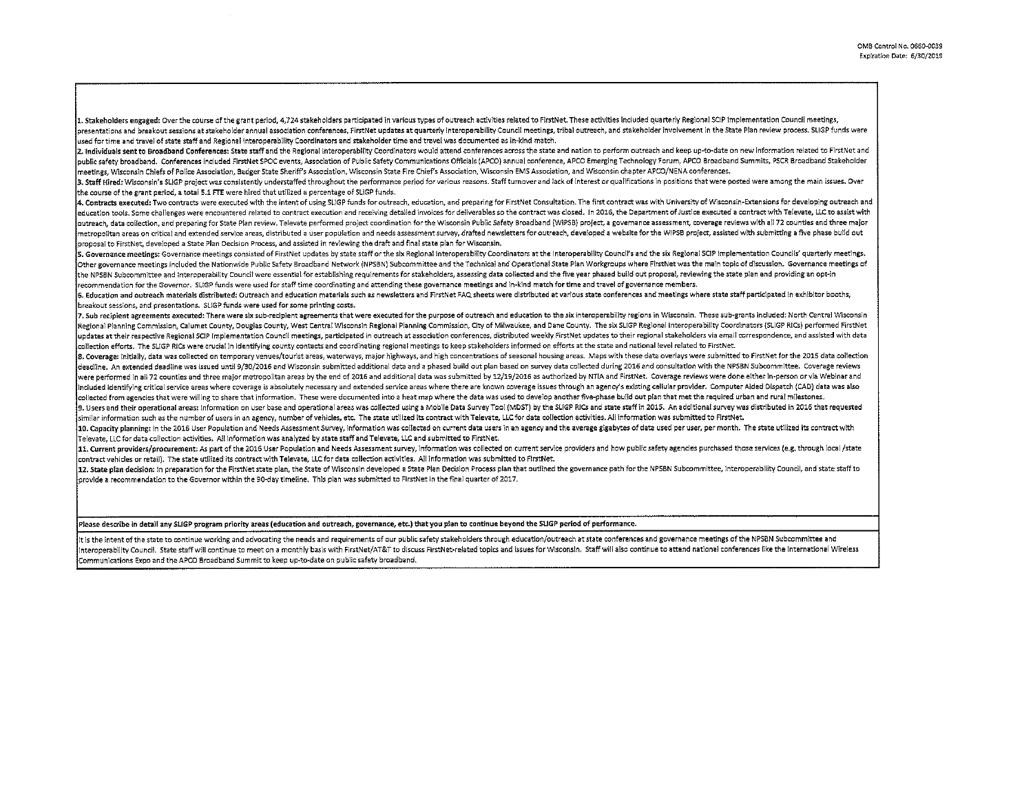1. Stakeholders engaged: Over the course of the grant period, 4,724 stakeholders participated in various types of outreach activities related to FirstNet. These activities included quarterly Regional SCIP implementation Co presentations and breakout sessions at stakeholder annual association conferences, FirstNet updates at quarterly Interoperability Council meetings, tribal outreach, and stakeholder involvement in the State Plan review proc used for time and travel of state staff and Regional Interoperability Coordinators and stakeholder tlme and travel was documented as in-kind match.

2. Individuals sent to Broadband Conferences: State staff and the Regional Interoperability Coordinators would attend conferences across the state and nation to perform outreach and keep up-to-date on new information relat public safety broadband. Conferences included FirstNet SPOC events, Association of Public Safety Communications Officials (APCO) annual conference, APCO Emerging Technology Forum, APCO Broadband Summits, PSCR Broadband Sta meetings, Wisconsin Cliiefs of Police Association, Badger State Sheriff's Association, Wisconsin State Fire Chiefs Association, Wisconsin EMS Association, and Wisconsin chapter APCO/NENA conferences.

3. Staff Hired: Wisconsin's SLIGP project was consistently understaffed throughout the performance period for various reasons. Staff turnover and lack of interest or qualifications in positions that were posted were among the course of the grant period, a total 5.1 FTE were hired that utilized a percentage of SUGP funds.

4. Contracts executed: Two contracts were executed with the intent of using SLIGP funds for outreach, education, and preparing for FirstNet Consultation. The first contract was with University of Wisconsin-Extensions for d education tools. Some challenges were encountered related to contract execution and receiving detailed invoices for deliverables so the contract was closed. In 2016, the Department of Justice executed a contract with Telev outreach, data collection, and preparing for State Plan review. Televate performed project coordination for the Wisconsin Public Safety Broadband (WIPSB) project, a governance assessment, coverage reviews with all 72 count metropolitan areas on critical and extended service areas, distributed a user population and needs assessment survey, drafted newsletters for outreach, developed a website for the WIPSB project, assisted with submitting a proposal to FirstNet, developed a State Plan Decision Process, and assisted in reviewing the draft and final state plan for Wisconsin.

5. Governance meetings: Governance meetings consisted of FirstNet updates by state staff or the six Regional Interoperability Coordinators at the Interoperability Council's and the six Regional SCIP Implementation Councils Other governance meetings included the Nationwide Public Safety Broadband Network (NPSBN) Subcommittee and the Technical and Operational State Plan Workgroups where FirstNet was the main topic of discussion. Governance mee the NPSBN Subcommittee and Interoperability Council were essential for establishing requirements for stakeholders, assessing data collected and the five year phased build out proposal, reviewing the state plan and providin recommendation for the Governor. SLIGP funds were used for staff time coordinating and attending these governance meetings and in-kind match for time and travel of governance members.

6. Education and outreach materials distributed: Outreach and education materials such as newsletters and FirstNet FAQ sheets were distributed at various state conferences and meetings where state staff participated in exh breakout sessions, and presentations. SLIGP funds were used for some printing costs.

7. Sub recipient agreements executed: There were six sub-recipient agreements that were executed for the purpose of outreach and education to the six interoperability regions in Wisconsin. These sub-grants included: North Regional Planning Commission, Calumet County, Douglas County, West Central Wisconsin Regional Planning Commission, City of Milwaukee, and Dane County. The six SLIGP Regional Interoperability Coordinators (SLIGP RICs) perfo updates at their respective Regional SCIP implementation Council meetings, participated in outreach at association conferences, distributed weekly FirstNet updates to their regional stakeholders via email correspondence, a collection efforts. The SLIGP RICs were crucial In identifying county contacts and coordinating regional meetings to keep stakeholders informed on efforts at the state and national level related to FirstNet.

8. Coverage: Initially, data was collected on temporary venues/tourist areas, waterways, major highways, and high concentrations of seasonal housing areas. Maps with these data overlays were submitted to FirstNet for the 2 deadline. An extended deadline was issued until 9/30/2016 and Wisconsin submitted additional data and a phased build out plan based on survey data collected during 2016 and consultation with the NPSBN Subcommittee. Coverag were performed in all 72 counties and three major metropolitan areas by the end of 2016 and additional data was submitted by 12/19/2016 as authorized by NTIA and FirstNet. Coverage reviews were done either in-person or via included identifying critical service areas where coverage is absolutely necessary and extended service areas where there are known coverage issues through an agency's existing cellular provider. Computer Aided Dispatch (C collected from agencies that were willing to share that information. These were documented into a heat map where the data was used to develop another five-phase build out plan that met the required urban and rural mileston

9. Users and their operational areas: information on user base and operational areas was collected using a Mobile Data Survey Tool (MDST) by the SLIGP RICs and state staff in 2015. An additional survey was distributed in 2 similar information such as the number of users in an agency, number of vehicles, etc. The state utilized its contract with Televate, LLC for data collection activities. All information was submitted to FirstNet.

10. Capacity planning: in the 2016 User Population and Needs Assessment Survey, information was collected on current data users in an agency and the average gigabytes of data used per user, per month. The state utilized it IT elevate, LLC for data collection activities. All Information was analyzed by state staff and Televate, LLC and submitted to FirstNet.

11. Current providers/procurement: As part of the 2016 User Population and Needs Assessment survey, Information was collected on current service providers and how public safety agencies purchased those services (e.g. throu contract vehicles or retail). The state utllized its contract with Televate, LLC for data collection actlvities. All information was submitted to FlrstNet.

12. State plan decision: in preparation for the FirstNet state plan, the State of Wisconsin developed a State Plan Decision Process plan that outlined the governance path for the NPSBN Subcommittee, Interoperability Counci provide a recommendation to the Governor within the 90-day tlmeline. This plan was submitted to FirstNet in the final quarter of 2017.

# Please describe in detail any SUGP program priority areas (education and outreach, governance, etc.) that you plan to continue beyond the SUGP period of performance.

It is the intent of the state to continue working and advocating the needs and requirements of our public safety stakeholders through education/outreach at state conferences and governance meetings of the NPSBN Subcommitte Interoperability Council. State staff will continue to meet on a monthly basis with FirstNet/AT&T to discuss FirstNet-related topics and issues for Wisconsin. Staff will also continue to attend national conferences like th Communications Expo and the APCO Broadband Summit to keep up-to-date on public safety broadband.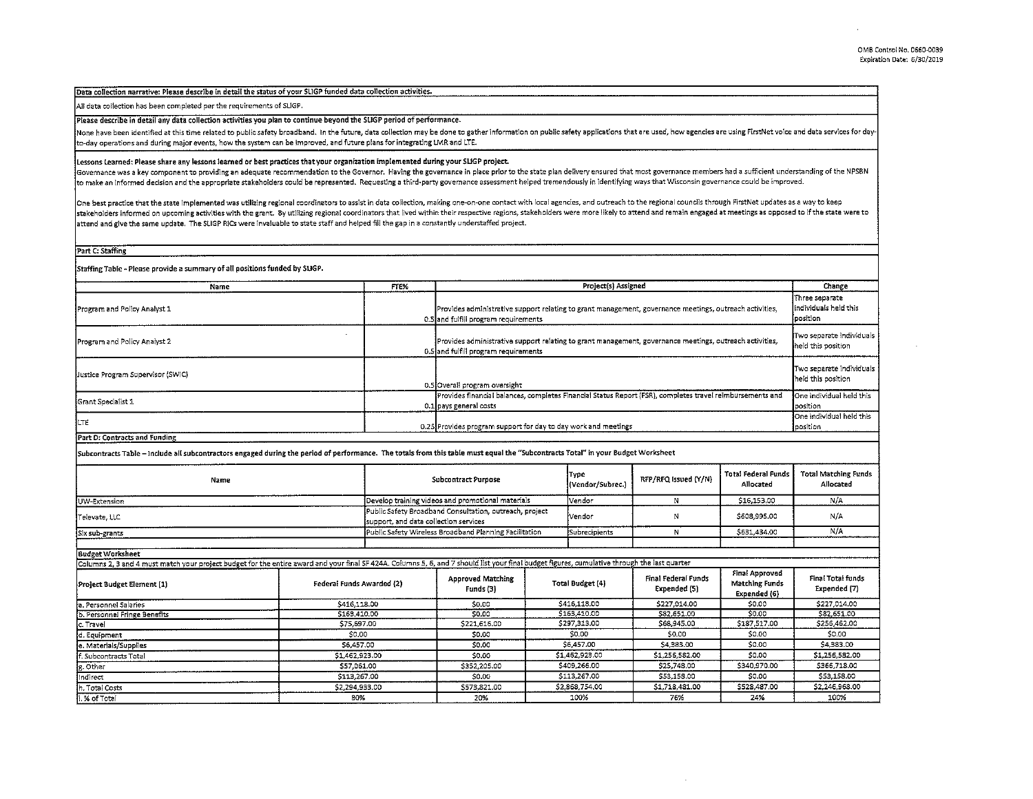## Data collection narrative: Please describe in detail the status of your SLIGP funded data collection activities.

## All data collection has been completed per the requirements of SUGP.

#### Please describe in detail any data collection activities you plan to continue beyond the SUGP period of performance.

None have been identified at this time related to public safety broadband. In the future, data collection may be done to gather information on public safety applications that are used, how agencies are using FirstNet voice to-day operations and during major events, how the system can be improved, and future plans for integrating LMR and LTE.

### Lessons Learned: Please share any lessons learned or best practices that your organization implemented during your SUGP project.

Governance was a key component to providing an adequate recommendation to the Governor. Having the governance in place prior to the state plan delivery ensured that most governance members had a sufficient understanding of to make an informed decision and the appropriate stakeholders could be represented. Requesting a third-party governance assessment helped tremendously in identifying ways that Wisconsin governance could be improved.

One best practice that the state implemented was utilizing regional coordinators to assist in data collection, making one-on-one contact with local agencies, and outreach to the regional councils through FirstNet updates a stakeholders informed on upcoming activities with the grant. By utilizing regional coordinators that lived within their respective regions, stakeholders were more likely to attend and remain engaged at meetings as opposed attend and give the same update. The SLIGP RICs were invaluable to state staff and helped fill the gap in a constantly understaffed project.

Part C: Staffing

Staffing Table - Please provide a summary of all positions funded by SUGP.

| Name                                | FTE% | Project(s) Assigned                                                                                                                             | Change                                                  |
|-------------------------------------|------|-------------------------------------------------------------------------------------------------------------------------------------------------|---------------------------------------------------------|
| Program and Policy Analyst 1        |      | Provides administrative support relating to grant management, governance meetings, outreach activities,<br>0.5 and fulfill program requirements | i Three separate<br>Individuals held this<br>lposition. |
| <b>Program and Policy Analyst 2</b> |      | Provides administrative support relating to grant management, governance meetings, outreach activities,<br>0.5 and fulfill program requirements | Two separate individuals<br>Ineld this position         |
| Lustice Program Supervisor (SWIC)   |      | 0.5 Overall program oversight                                                                                                                   | Two separate individuals<br>held this position          |
| Grant Specialist 1                  |      | Provides financial balances, completes Financial Status Report (FSR), completes travel reimbursements and<br>0.1 loavs general costs            | One individual held this<br>position                    |
| ILTE                                |      | 0.25 Provides program support for day to day work and meetings                                                                                  | <b>One individual held this</b><br>position             |

Part D: Contracts and Funding

Subcontracts Table - Include all subcontractors engaged during the period of performance. The totals from this table murt equal the "Subcontracts Total" in your Budget Worksheet

| Name                                                                                                                                                                                          |                                                                                                  | <b>Subcontract Purpose</b>                             |  |                         | Type<br>(Vendor/Subrec.) | RFP/RFQ Issued (Y/N)                       | Total Federal Funds<br>Allocated                 | <b>Total Matching Funds</b><br>Allocated |
|-----------------------------------------------------------------------------------------------------------------------------------------------------------------------------------------------|--------------------------------------------------------------------------------------------------|--------------------------------------------------------|--|-------------------------|--------------------------|--------------------------------------------|--------------------------------------------------|------------------------------------------|
| UW-Extension                                                                                                                                                                                  |                                                                                                  | Develop training videos and promotional materials      |  |                         | Vendor                   | N                                          | \$16,153.00                                      | N/A                                      |
| Televate LLC                                                                                                                                                                                  | Public Safety Broadband Consultation, outreach, project<br>support, and data collection services |                                                        |  | Vendor                  | N                        | \$608,995.00                               | N/A                                              |                                          |
| Six sub-grants                                                                                                                                                                                |                                                                                                  | Public Safety Wireless Broadband Planning Facilitation |  |                         | Subrecipients            | N                                          | \$631,434.00                                     | N/A                                      |
|                                                                                                                                                                                               |                                                                                                  |                                                        |  |                         |                          |                                            |                                                  |                                          |
| <b>Budget Worksheet</b>                                                                                                                                                                       |                                                                                                  |                                                        |  |                         |                          |                                            |                                                  |                                          |
| Columns 2, 3 and 4 must match your project budget for the entire award and your final SF 424A. Columns 5, 6, and 7 should list your final budget figures, cumulative through the last quarter |                                                                                                  |                                                        |  |                         |                          |                                            |                                                  |                                          |
| Project Budget Element (1)                                                                                                                                                                    |                                                                                                  | Federal Funds Awarded (2)                              |  | <b>Total Budget (4)</b> |                          | <b>Final Federal Funds</b><br>Expended (5) | Final Approved<br>Matching Funds<br>Expended (6) | Final Total funds<br>Expended (7)        |
| a. Personnel Salaries                                                                                                                                                                         |                                                                                                  | \$416,118.00                                           |  | \$415,118.00            |                          | \$227,014.00                               | \$0.00                                           | \$227,014.00                             |
| b. Personnel Fringe Benefits                                                                                                                                                                  |                                                                                                  | S163.410.00                                            |  | \$163,410.00            |                          | \$82,651.00                                | 50.00                                            | \$82,651,00                              |
| c. Travel                                                                                                                                                                                     |                                                                                                  | \$75,697.00                                            |  |                         | \$297,313.00             | \$68,945.00                                | \$187,517.00                                     | \$256,462,00                             |
| d. Equipment                                                                                                                                                                                  |                                                                                                  | \$0,00                                                 |  |                         | \$0.00                   | \$0.00                                     | \$0.00                                           | \$0.00                                   |
| le, Materials/Supplies                                                                                                                                                                        |                                                                                                  | \$6,457.00                                             |  |                         | \$6,457.00               | \$4,383.00                                 | \$0.00                                           | \$4,383.00                               |
| f. Subcontracts Total                                                                                                                                                                         |                                                                                                  | \$1,462,923,00                                         |  | \$1,462,923.00          |                          | \$1,256,582.00                             | \$0.00                                           | \$1,256,582.00                           |
| g. Other                                                                                                                                                                                      |                                                                                                  | \$57,061.00                                            |  | \$409,266.00            |                          | \$25,748.00                                | \$340,970.00                                     | \$366,718.00                             |
| indirect                                                                                                                                                                                      |                                                                                                  | \$113,267.00                                           |  | \$113,267.00            |                          | \$53,158.00                                | \$0.00                                           | \$53.158.00                              |
| h. Total Costs                                                                                                                                                                                |                                                                                                  | \$2,294,933.00                                         |  | \$2,868,754.00          |                          | \$1,718,481.00                             | \$528,487.00                                     | \$2,246,968.00                           |
| i. % of Total                                                                                                                                                                                 |                                                                                                  | 80%                                                    |  |                         | 100%                     | 76%                                        | 24%                                              | 100%                                     |